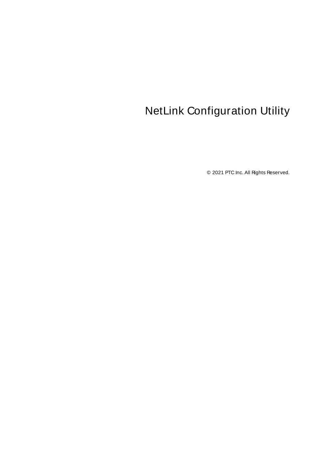# <span id="page-0-0"></span>NetLink Configuration Utility

© 2021 PTC Inc. All Rights Reserved.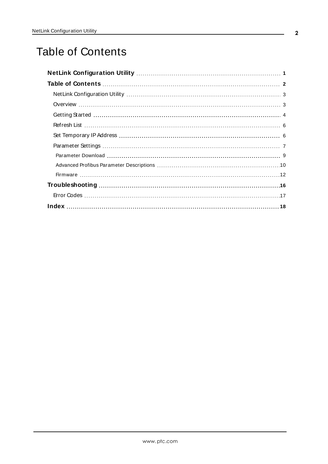# <span id="page-1-0"></span>Table of Contents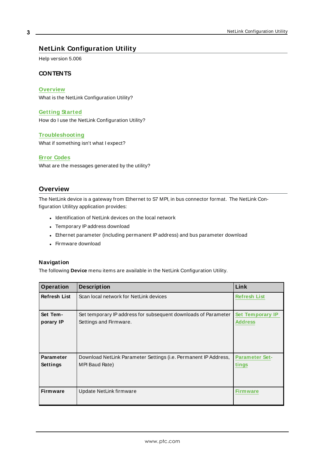### <span id="page-2-0"></span>**NetLink Configuration Utility**

<span id="page-2-2"></span>Help version 5.006

#### **CONTENTS**

#### **[Overview](#page-2-1)**

What is the NetLink Configuration Utility?

#### **[Getting](#page-3-0) Started**

How do I use the NetLink Configuration Utility?

#### **[Troubleshooting](#page-15-0)**

What if something isn't what I expect?

#### **Error [Codes](#page-16-0)**

What are the messages generated by the utility?

#### <span id="page-2-1"></span>**Overview**

The NetLink device is a gateway from Ethernet to S7 MPI, in bus connector format. The NetLink Configuration Utilityy application provides:

- Identification of NetLink devices on the local network
- Temporary IP address download
- Ethernet parameter (including permanent IP address) and bus parameter download
- Firmware download

#### <span id="page-2-3"></span>**Navigation**

The following **Device** menu items are available in the NetLink Configuration Utility.

| Operation           | <b>Description</b>                                              | Link                    |
|---------------------|-----------------------------------------------------------------|-------------------------|
| <b>Refresh List</b> | Scan local network for NetLink devices                          | <b>Refresh List</b>     |
| Set Tem-            | Set temporary IP address for subsequent downloads of Parameter  | <b>Set Temporary IP</b> |
| porary IP           | Settings and Firmware.                                          | <b>Address</b>          |
| <b>Parameter</b>    | Download NetLink Parameter Settings (i.e. Permanent IP Address, | <b>Parameter Set-</b>   |
| <b>Settings</b>     | MPI Baud Rate)                                                  | tings                   |
| <b>Firmware</b>     | Update NetLink firmware                                         | <b>Firmware</b>         |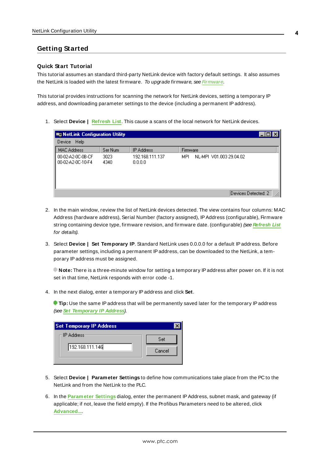#### <span id="page-3-0"></span>**Getting Started**

#### **Quick Start Tutorial**

This tutorial assumes an standard third-party NetLink device with factory default settings. It also assumes the NetLink is loaded with the latest firmware. To upgrade firmware, see [Firmware](#page-11-0).

This tutorial provides instructions for scanning the network for NetLink devices, setting a temporary IP address, and downloading parameter settings to the device (including a permanent IPaddress).

1. Select **Device | [Refresh](#page-5-0) List**. This cause a scans of the local network for NetLink devices.

| $\blacksquare$ NetLink Configuration Utility |              |                            |                                | <b>LIOI</b> |
|----------------------------------------------|--------------|----------------------------|--------------------------------|-------------|
| Help<br>Device                               |              |                            |                                |             |
| <b>MAC Address</b>                           | Ser Num      | <b>IP Address</b>          | Firmware                       |             |
| 00-02-A2-0C-0B-CF<br>00-02-A2-0C-10-F4       | 3023<br>4340 | 192.168.111.137<br>0.0.0.0 | NL-MPL V01.003 29.04.02<br>MPL |             |
|                                              |              |                            | Devices Detected: 2            |             |

- 2. In the main window, review the list of NetLink devices detected. The view contains four columns: MAC Address (hardware address), Serial Number (factory assigned), IPAddress (configurable), Firmware string containing device type, firmware revision, and firmware date. (configurable) (see **[Refresh](#page-5-0) List** for details).
- 3. Select **Device | Set Temporary IP**. Standard NetLink uses 0.0.0.0 for a default IPaddress. Before parameter settings, including a permanent IPaddress, can be downloaded to the NetLink, a temporary IPaddress must be assigned.

**Note:** There is a three-minute window for setting a temporary IPaddress after power on. If it is not set in that time, NetLink responds with error code -1.

4. In the next dialog, enter a temporary IPaddress and click **Set**.

**Tip:** Use the same IP address that will be permanently saved later for the temporary IP address (see **Set [Temporary](#page-5-1) IP Address**).

| <b>Set Temporary IP Address</b> |        |
|---------------------------------|--------|
| ⊢IP Address <sup>.</sup>        | Set    |
| 192.168.111.146                 | Cancel |
|                                 |        |

- 5. Select **Device | Parameter Settings** to define how communications take place from the PC to the NetLink and from the NetLink to the PLC.
- 6. In the **[Parameter](#page-7-0) Settings** dialog, enter the permanent IPAddress, subnet mask, and gateway (if applicable; if not, leave the field empty). If the Profibus Parameters need to be altered, click **[Advanced...](#page-9-0)**.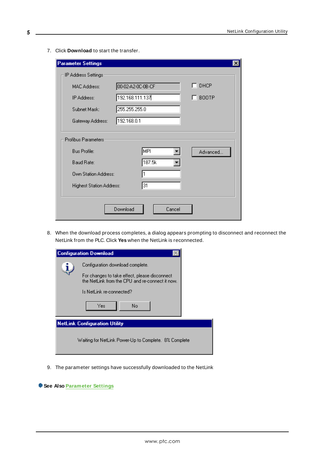7. Click **Download** to start the transfer.

| <b>Parameter Settings</b>       |                    | $\vert x \vert$ |
|---------------------------------|--------------------|-----------------|
| IP Address Settings:            |                    |                 |
| MAC Address:                    | 00-02-A2-0C-0B-CF  | $\Box$ DHCP     |
| IP Address:                     | 192.168.111.137    | $\Box$ BOOTP    |
| Subnet Mask:                    | 255.255.255.0      |                 |
| Gateway Address:                | 192.168.0.1        |                 |
|                                 |                    |                 |
| Profibus Parameters:            |                    |                 |
| Bus Profile:                    | MPI                | Advanced        |
| Baud Rate:                      | 187.5k             |                 |
| <b>Own Station Address:</b>     |                    |                 |
| <b>Highest Station Address:</b> | 31                 |                 |
|                                 |                    |                 |
|                                 | Download<br>Cancel |                 |
|                                 |                    |                 |

8. When the download process completes, a dialog appears prompting to disconnect and reconnect the NetLink from the PLC. Click **Yes** when the NetLink is reconnected.

| <b>Configuration Download</b>                                                                                                                                                 |
|-------------------------------------------------------------------------------------------------------------------------------------------------------------------------------|
| Configuration download complete.<br>For changes to take effect, please disconnect<br>the NetLink from the CPU and re-connect it now.<br>Is NetLink re-connected?<br>Yes<br>No |
| <b>NetLink Configuration Utility</b>                                                                                                                                          |
| Waiting for NetLink Power-Up to Complete, 8% Complete.                                                                                                                        |

9. The parameter settings have successfully downloaded to the NetLink

| See Also Parameter Settings |  |
|-----------------------------|--|
|-----------------------------|--|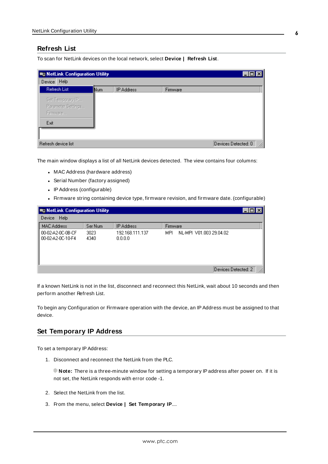#### <span id="page-5-0"></span>**Refresh List**

To scan for NetLink devices on the local network, select **Device | Refresh List**.

| <b>E NetLink Configuration Utility</b>             |     |                   |          |                     |
|----------------------------------------------------|-----|-------------------|----------|---------------------|
| Help<br>Device                                     |     |                   |          |                     |
| Refresh List                                       | Num | <b>IP Address</b> | Firmware |                     |
| Set Temporary IP<br>Parameter Settings<br>Firmware |     |                   |          |                     |
| Exit                                               |     |                   |          |                     |
| Refresh device list                                |     |                   |          | Devices Detected: 0 |

The main window displays a list of all NetLink devices detected. The view contains four columns:

- <span id="page-5-2"></span>• MAC Address (hardware address)
- Serial Number (factory assigned)
- IP Address (configurable)
- Firmware string containing device type, firmware revision, and firmware date. (configurable)

| <b>BE NetLink Configuration Utility</b> |              |                            |                                |  |
|-----------------------------------------|--------------|----------------------------|--------------------------------|--|
| Help<br>Device                          |              |                            |                                |  |
| <b>MAC Address</b>                      | Ser Num      | <b>IP Address</b>          | <b>Firmware</b>                |  |
| 00-02-A2-0C-0B-CF<br>00-02-A2-0C-10-F4  | 3023<br>4340 | 192.168.111.137<br>0.0.0.0 | NL-MPL V01.003 29.04.02<br>MPL |  |
|                                         |              |                            | Devices Detected: 2            |  |

If a known NetLink is not in the list, disconnect and reconnect this NetLink, wait about 10 seconds and then perform another Refresh List.

To begin any Configuration or Firmware operation with the device, an IPAddress must be assigned to that device.

#### <span id="page-5-1"></span>**Set Temporary IP Address**

To set a temporary IPAddress:

1. Disconnect and reconnect the NetLink from the PLC.

**Note:** There is a three-minute window for setting a temporary IPaddress after power on. If it is not set, the NetLink responds with error code -1.

- 2. Select the NetLink from the list.
- 3. From the menu, select **Device | Set Temporary IP**....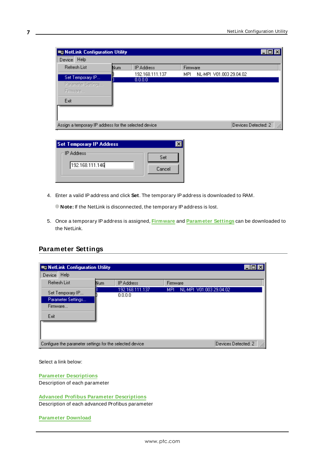| <b>ED NetLink Configuration Utility</b>                |     |                   |          |                         |  |
|--------------------------------------------------------|-----|-------------------|----------|-------------------------|--|
| Device Help                                            |     |                   |          |                         |  |
| Refresh List                                           | Num | <b>IP Address</b> | Firmware |                         |  |
| Set Temporary IP                                       |     | 192.168.111.137   | MPL.     | NL-MPL V01.003 29.04.02 |  |
| Parameter Settings<br>Firmware                         |     | 0.0.0.0           |          |                         |  |
| Exit                                                   |     |                   |          |                         |  |
| Assign a temporary IP address for the selected device. |     |                   |          | Devices Detected: 2     |  |

| – IP Address <sup>,</sup> | Set    |
|---------------------------|--------|
| 192.168.111.146           | Cancel |

- 4. Enter a valid IPaddress and click **Set**. The temporary IPaddress is downloaded to RAM.
	- **Note:** If the NetLink is disconnected, the temporary IPaddress is lost.
- 5. Once a temporary IPaddress is assigned, **[Firmware](#page-11-0)** and **[Parameter](#page-7-0) Settings** can be downloaded to the NetLink.

### <span id="page-6-0"></span>**Parameter Settings**

| <b>E NetLink Configuration Utility</b>                     |     |                            |          |                         |                     |
|------------------------------------------------------------|-----|----------------------------|----------|-------------------------|---------------------|
| Help<br>Device                                             |     |                            |          |                         |                     |
| <b>Refresh List</b>                                        | Num | <b>IP Address</b>          | Firmware |                         |                     |
| Set Temporary IP<br>Parameter Settings<br>Firmware<br>Exit |     | 192.168.111.137<br>0.0.0.0 | MPL      | NL-MPI V01.003 29.04.02 |                     |
| Configure the parameter settings for the selected device   |     |                            |          |                         | Devices Detected: 2 |

Select a link below:

**Parameter [Descriptions](#page-7-0)** Description of each parameter

**Advanced Profibus Parameter [Descriptions](#page-9-0)** Description of each advanced Profibus parameter

**[Parameter](#page-8-0) Download**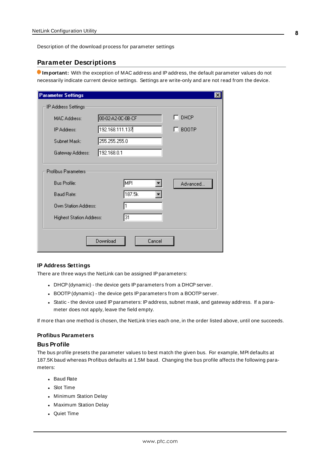<span id="page-7-0"></span>Description of the download process for parameter settings

#### **Parameter Descriptions**

**Important:** With the exception of MAC address and IPaddress, the default parameter values do not necessarily indicate current device settings. Settings are write-only and are not read from the device.

| <b>Parameter Settings</b>       |                    | $\vert x \vert$ |
|---------------------------------|--------------------|-----------------|
| IP Address Settings:            |                    |                 |
| MAC Address:                    | 00-02-A2-0C-0B-CF  | $\Box$ DHCP     |
| IP Address:                     | 192.168.111.137    | <b>BOOTP</b>    |
| Subnet Mask:                    | 255.255.255.0      |                 |
| Gateway Address:                | 192.168.0.1        |                 |
|                                 |                    |                 |
| Profibus Parameters:            |                    |                 |
| <b>Bus Profile:</b>             | MPI                | Advanced        |
| Baud Rate:                      | 187.5k             |                 |
| <b>Own Station Address:</b>     |                    |                 |
| <b>Highest Station Address:</b> | 31                 |                 |
|                                 |                    |                 |
|                                 | Download<br>Cancel |                 |
|                                 |                    |                 |

#### <span id="page-7-1"></span>**IP Address Settings**

There are three ways the NetLink can be assigned IP parameters:

- DHCP (dynamic) the device gets IP parameters from a DHCP server.
- BOOTP (dynamic) the device gets IP parameters from a BOOTP server.
- Static the device used IP parameters: IP address, subnet mask, and gateway address. If a parameter does not apply, leave the field empty.

If more than one method is chosen, the NetLink tries each one, in the order listed above, until one succeeds.

#### **Profibus Parameters**

#### **Bus Profile**

The bus profile presets the parameter values to best match the given bus. For example, MPI defaults at 187.5Kbaud whereas Profibus defaults at 1.5M baud. Changing the bus profile affects the following parameters:

- Baud Rate
- Slot Time
- Minimum Station Delay
- Maximum Station Delay
- Quiet Time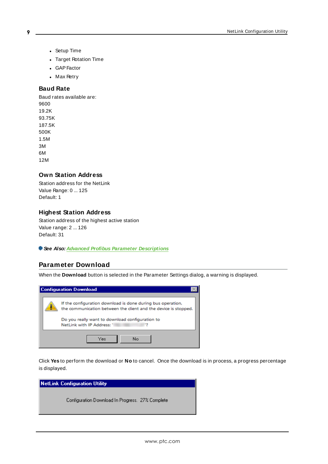- Setup Time
- **.** Target Rotation Time
- GAP Factor
- Max Retry

#### <span id="page-8-1"></span>**Baud Rate**

Baud rates available are: 9600 19.2K 93.75K 187.5K 500K 1.5M 3M 6M 12M

#### <span id="page-8-2"></span>**Own Station Address**

Station address for the NetLink Value Range: 0 ... 125 Default: 1

#### **Highest Station Address**

Station address of the highest active station Value range: 2 ... 126 Default: 31

<span id="page-8-0"></span>**See Also: Advanced Profibus Parameter [Descriptions](#page-9-0)**

### **Parameter Download**

When the **Download** button is selected in the Parameter Settings dialog, a warning is displayed.

| <b>Configuration Download</b>                                                                                                                                                                                   |  |
|-----------------------------------------------------------------------------------------------------------------------------------------------------------------------------------------------------------------|--|
| If the configuration download is done during bus operation,<br>the communication between the client and the device is stopped.<br>Do you really want to download configuration to<br>NetLink with IP Address: ' |  |
| No<br>Yes                                                                                                                                                                                                       |  |

Click **Yes** to perform the download or **No** to cancel. Once the download is in process, a progress percentage is displayed.

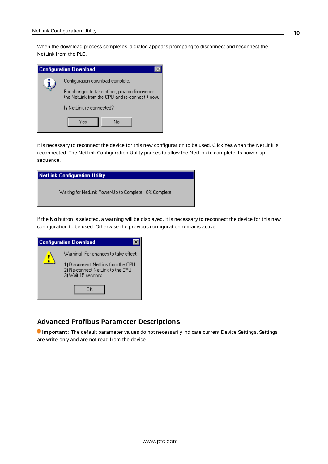When the download process completes, a dialog appears prompting to disconnect and reconnect the NetLink from the PLC.

| <b>Configuration Download</b>                                                                    |
|--------------------------------------------------------------------------------------------------|
| Configuration download complete.                                                                 |
| For changes to take effect, please disconnect<br>the NetLink from the CPU and re-connect it now. |
| Is NetLink re-connected?                                                                         |
| N٥<br>Yes                                                                                        |

It is necessary to reconnect the device for this new configuration to be used. Click **Yes** when the NetLink is reconnected. The NetLink Configuration Utility pauses to allow the NetLink to complete its power-up sequence.

| NetLink Configuration Utility                          |  |  |
|--------------------------------------------------------|--|--|
| Waiting for NetLink Power-Up to Complete. 8% Complete. |  |  |

If the **No** button is selected, a warning will be displayed. It is necessary to reconnect the device for this new configuration to be used. Otherwise the previous configuration remains active.

| <b>Configuration Download</b>                                                                                                        |  |
|--------------------------------------------------------------------------------------------------------------------------------------|--|
| Warning! For changes to take effect:<br>1) Disconnect NetLink from the CPU<br>2) Re-connect NetLink to the CPU<br>3) Wait 15 seconds |  |
| ΠK                                                                                                                                   |  |

#### <span id="page-9-0"></span>**Advanced Profibus Parameter Descriptions**

**Important:** The default parameter values do not necessarily indicate current Device Settings. Settings are write-only and are not read from the device.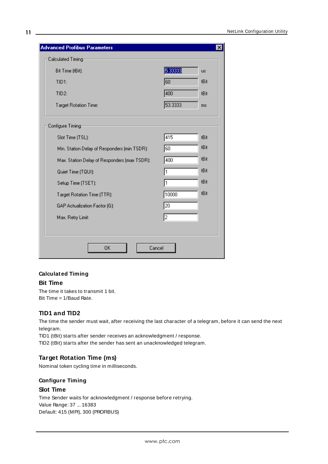| Calculated Timing                            |                 |           |
|----------------------------------------------|-----------------|-----------|
| Bit Time (tBit):                             | 5.33333         | <b>us</b> |
| TID1:                                        | 60              | tBit      |
| TID <sub>2</sub> :                           | 400             | tBit      |
| Target Rotation Time:                        | 53.3333         | ms        |
| Configure Timing                             |                 |           |
| Slot Time (TSL):                             | 415             | tBit.     |
| Min. Station Delay of Responders (min TSDR): | 60              | tBit      |
| Max. Station Delay of Responders (max TSDR): | 400             | tBit      |
| Quiet Time (TQUI):                           | 1               | tBit      |
| Setup Time (TSET):                           | 1               | tBit      |
| Target Rotation Time (TTR):                  | 10000           | tBit      |
| GAP Actualization Factor (G):                | $\overline{20}$ |           |
| Max. Retry Limit:                            | 2               |           |
|                                              |                 |           |
|                                              |                 |           |

#### <span id="page-10-0"></span>**Calculated Timing**

#### **Bit Time**

The time it takes to transmit 1 bit. Bit Time = 1/Baud Rate.

### **TID1 and TID2**

The time the sender must wait, after receiving the last character of a telegram, before it can send the next telegram.

TID1 (tBit) starts after sender receives an acknowledgment / response. TID2 (tBit) starts after the sender has sent an unacknowledged telegram.

#### <span id="page-10-1"></span>**Target Rotation Time (ms)**

Nominal token cycling time in milliseconds.

#### **Configure Timing**

#### **Slot Time**

Time Sender waits for acknowledgment / response before retrying. Value Range: 37 ... 16383 Default: 415 (MPI), 300 (PROFIBUS)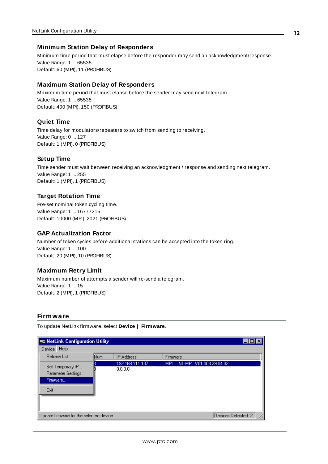#### <span id="page-11-3"></span>**Minimum Station Delay of Responders**

Minimum time period that must elapse before the responder may send an acknowledgment/response. Value Range: 1 ... 65535 Default: 60 (MPI), 11 (PROFIBUS)

#### **Maximum Station Delay of Responders**

Maximum time period that must elapse before the sender may send next telegram. Value Range: 1 ... 65535 Default: 400 (MPI), 150 (PROFIBUS)

#### <span id="page-11-2"></span>**Quiet Time**

Time delay for modulators/repeaters to switch from sending to receiving. Value Range: 0 ... 127 Default: 1 (MPI), 0 (PROFIBUS)

#### **Setup Time**

Time sender must wait between receiving an acknowledgment / response and sending next telegram. Value Range: 1 ... 255 Default: 1 (MPI), 1 (PROFIBUS)

#### **Target Rotation Time**

Pre-set nominal token cycling time. Value Range: 1 ... 16777215 Default: 10000 (MPI), 2021 (PROFIBUS)

#### <span id="page-11-1"></span>**GAP Actualization Factor**

Number of token cycles before additional stations can be accepted into the token ring. Value Range: 1 ... 100 Default: 20 (MPI), 10 (PROFIBUS)

#### **Maximum Retry Limit**

Maximum number of attempts a sender will re-send a telegram. Value Range: 1 ... 15 Default: 2 (MPI), 1 (PROFIBUS)

#### <span id="page-11-0"></span>**Firmware**

To update NetLink firmware, select **Device | Firmware**.

| <b>But NetLink Configuration Utility</b>                   |     |                            |                                       |                     |
|------------------------------------------------------------|-----|----------------------------|---------------------------------------|---------------------|
| Help<br>Device                                             |     |                            |                                       |                     |
| <b>Refresh List</b>                                        | Num | <b>IP Address</b>          | Firmware                              |                     |
| Set Temporary IP<br>Parameter Settings<br>Firmware<br>Exit |     | 192.168.111.137<br>0.0.0.0 | NL-MPI V01.003 29.04.02<br><b>MPI</b> |                     |
| Update firmware for the selected device                    |     |                            |                                       | Devices Detected: 2 |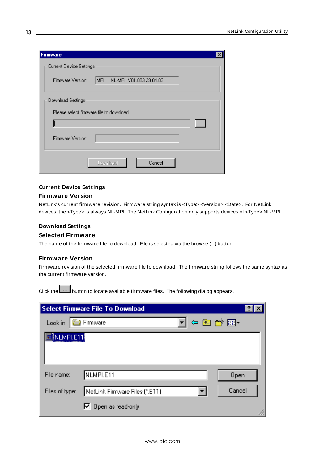| <b>Firmware</b>                                      |
|------------------------------------------------------|
| Current Device Settings:                             |
| MPL.<br>NL-MPI V01.003 29.04.02<br>Firmware Version: |
| Download Settings:                                   |
| Please select firmware file to download:             |
| $\cdots$                                             |
| Firmware Version:                                    |
| Cancel<br>Download                                   |

#### **Current Device Settings**

#### **Firmware Version**

NetLink's current firmware revision. Firmware string syntax is <Type> <Version> <Date>. For NetLink devices, the <Type> is always NL-MPI. The NetLink Configuration only supports devices of <Type> NL-MPI.

#### **Download Settings**

#### **Selected Firmware**

The name of the firmware file to download. File is selected via the browse (...) button.

#### **Firmware Version**

Firmware revision of the selected firmware file to download. The firmware string follows the same syntax as the current firmware version.

Click the  $\frac{b}{c}$  button to locate available firmware files. The following dialog appears.

|                | <b>Select Firmware File To Download</b> |        |
|----------------|-----------------------------------------|--------|
| Look in:       | Firmware                                | 中国管理-  |
| a NLMPI.E11    |                                         |        |
|                |                                         |        |
| File name:     | NLMPI.E11                               | Open   |
| Files of type: | NetLink Firmware Files (*.E11)          | Cancel |
|                | $\nabla$ Open as read-only              |        |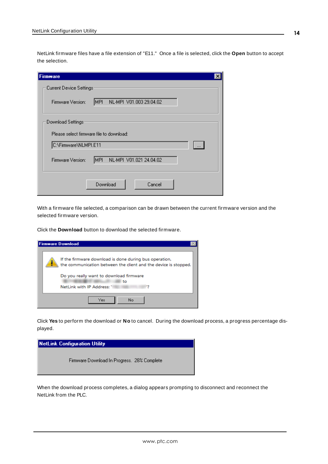NetLink firmware files have a file extension of "E11." Once a file is selected, click the **Open** button to accept the selection.

| $\boldsymbol{\mathsf{x}}$<br>Firmware                |
|------------------------------------------------------|
| Current Device Settings:                             |
| MPI<br>NL-MPI V01.003 29.04.02<br>Firmware Version:  |
| Download Settings:                                   |
| Please select firmware file to download:             |
| C:\Firmware\NLMPI.E11<br>$\cdots$                    |
| NL-MPI V01.021 24.04.02<br>MPI.<br>Firmware Version: |
| Download<br>Cancel                                   |

With a firmware file selected, a comparison can be drawn between the current firmware version and the selected firmware version.

Click the **Download** button to download the selected firmware.

| <b>Firmware Download</b>                                                                                                                                                                                 |
|----------------------------------------------------------------------------------------------------------------------------------------------------------------------------------------------------------|
| If the firmware download is done during bus operation,<br>the communication between the client and the device is stopped.<br>Do you really want to download firmware<br>to<br>NetLink with IP Address: ' |
| Yes<br>No.                                                                                                                                                                                               |

Click **Yes** to perform the download or **No** to cancel. During the download process, a progress percentage displayed.



When the download process completes, a dialog appears prompting to disconnect and reconnect the NetLink from the PLC.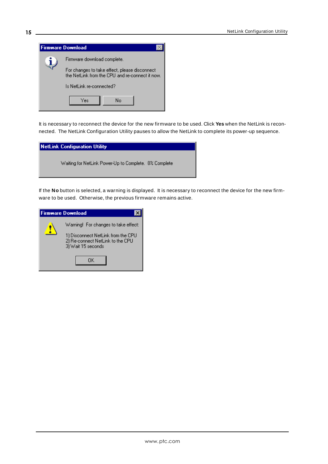

It is necessary to reconnect the device for the new firmware to be used. Click **Yes** when the NetLink is reconnected. The NetLink Configuration Utility pauses to allow the NetLink to complete its power-up sequence.

| NetLink Configuration Utility                          |
|--------------------------------------------------------|
| Waiting for NetLink Power-Up to Complete. 8% Complete. |

If the **No** button is selected, a warning is displayed. It is necessary to reconnect the device for the new firmware to be used. Otherwise, the previous firmware remains active.

| <b>Firmware Download</b> |                                                                                                                                      |  |
|--------------------------|--------------------------------------------------------------------------------------------------------------------------------------|--|
|                          | Warning! For changes to take effect:<br>1) Disconnect NetLink from the CPU<br>2) Re-connect NetLink to the CPU<br>3) Wait 15 seconds |  |
|                          | ΠK                                                                                                                                   |  |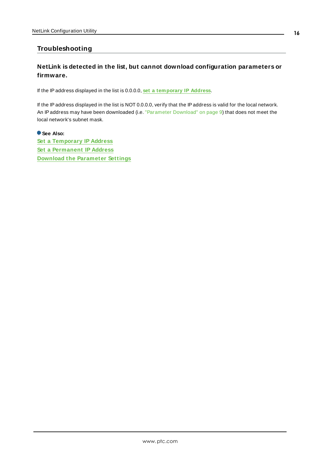### <span id="page-15-0"></span>**Troubleshooting**

### **NetLink is detected in the list, but cannot download configuration parameters or firmware.**

If the IPaddress displayed in the list is 0.0.0.0, **set a [temporary](#page-5-1) IP Address**.

If the IPaddress displayed in the list is NOT 0.0.0.0, verify that the IPaddress is valid for the local network. An IP address may have been downloaded (i.e. ["Parameter](#page-8-0) Download" on page 9) that does not meet the local network's subnet mask.

**See Also: Set a [Temporary](#page-5-1) IP Address Set a [Permanent](#page-7-0) IP Address Download the [Parameter](#page-8-0) Settings**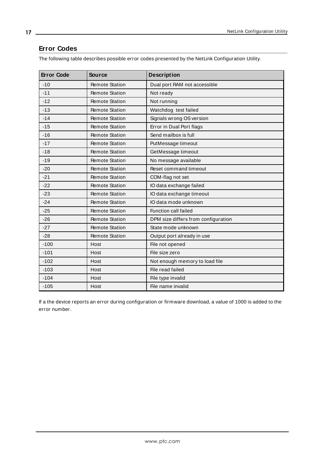### <span id="page-16-0"></span>**Error Codes**

The following table describes possible error codes presented by the NetLink Configuration Utility.

<span id="page-16-1"></span>

| <b>Error Code</b> | <b>Source</b>         | <b>Description</b>                  |
|-------------------|-----------------------|-------------------------------------|
| $-10$             | <b>Remote Station</b> | Dual port RAM not accessible        |
| $-11$             | <b>Remote Station</b> | Not ready                           |
| $-12$             | <b>Remote Station</b> | Not running                         |
| $-13$             | <b>Remote Station</b> | Watchdog test failed                |
| $-14$             | <b>Remote Station</b> | Signals wrong OS version            |
| $-15$             | <b>Remote Station</b> | Error in Dual Port flags            |
| $-16$             | <b>Remote Station</b> | Send mailbox is full                |
| $-17$             | <b>Remote Station</b> | PutMessage timeout                  |
| $-18$             | <b>Remote Station</b> | GetMessage timeout                  |
| $-19$             | <b>Remote Station</b> | No message available                |
| $-20$             | <b>Remote Station</b> | Reset command timeout               |
| $-21$             | <b>Remote Station</b> | COM-flag not set                    |
| $-22$             | <b>Remote Station</b> | IO data exchange failed             |
| $-23$             | <b>Remote Station</b> | IO data exchange timeout            |
| $-24$             | <b>Remote Station</b> | IO data mode unknown                |
| $-25$             | <b>Remote Station</b> | Function call failed                |
| $-26$             | <b>Remote Station</b> | DPM size differs from configuration |
| $-27$             | <b>Remote Station</b> | State mode unknown                  |
| $-28$             | <b>Remote Station</b> | Output port already in use          |
| $-100$            | Host                  | File not opened                     |
| $-101$            | Host                  | File size zero                      |
| $-102$            | Host                  | Not enough memory to load file      |
| $-103$            | Host                  | File read failed                    |
| $-104$            | Host                  | File type invalid                   |
| $-105$            | Host                  | File name invalid                   |

If a the device reports an error during configuration or firmware download, a value of 1000 is added to the error number.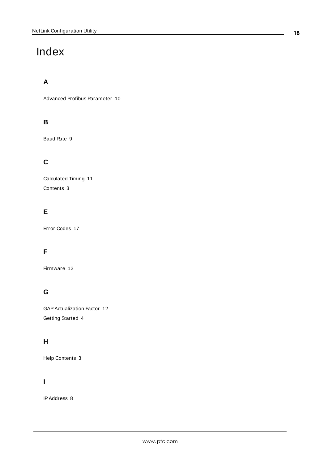# <span id="page-17-0"></span>Index

# **A**

Advanced Profibus Parameter [10](#page-9-0)

# **B**

Baud Rate [9](#page-8-1)

# **C**

Calculated Timing [11](#page-10-0) Contents [3](#page-2-2)

# **E**

Error Codes [17](#page-16-0)

# **F**

Firmware [12](#page-11-0)

# **G**

GAPActualization Factor [12](#page-11-1) Getting Started [4](#page-3-0)

# **H**

Help Contents [3](#page-2-0)

## **I**

IPAddress [8](#page-7-1)